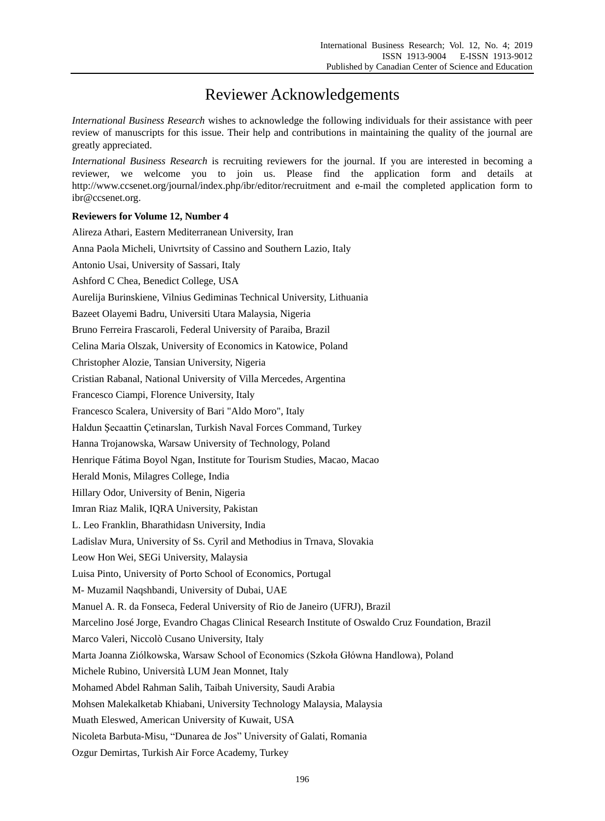## Reviewer Acknowledgements

*International Business Research* wishes to acknowledge the following individuals for their assistance with peer review of manuscripts for this issue. Their help and contributions in maintaining the quality of the journal are greatly appreciated.

*International Business Research* is recruiting reviewers for the journal. If you are interested in becoming a reviewer, we welcome you to join us. Please find the application form and details at http://www.ccsenet.org/journal/index.php/ibr/editor/recruitment and e-mail the completed application form to ibr@ccsenet.org.

## **Reviewers for Volume 12, Number 4**

| Alireza Athari, Eastern Mediterranean University, Iran                                               |
|------------------------------------------------------------------------------------------------------|
| Anna Paola Micheli, Univrtsity of Cassino and Southern Lazio, Italy                                  |
| Antonio Usai, University of Sassari, Italy                                                           |
| Ashford C Chea, Benedict College, USA                                                                |
| Aurelija Burinskiene, Vilnius Gediminas Technical University, Lithuania                              |
| Bazeet Olayemi Badru, Universiti Utara Malaysia, Nigeria                                             |
| Bruno Ferreira Frascaroli, Federal University of Paraiba, Brazil                                     |
| Celina Maria Olszak, University of Economics in Katowice, Poland                                     |
| Christopher Alozie, Tansian University, Nigeria                                                      |
| Cristian Rabanal, National University of Villa Mercedes, Argentina                                   |
| Francesco Ciampi, Florence University, Italy                                                         |
| Francesco Scalera, University of Bari "Aldo Moro", Italy                                             |
| Haldun Şecaattin Çetinarslan, Turkish Naval Forces Command, Turkey                                   |
| Hanna Trojanowska, Warsaw University of Technology, Poland                                           |
| Henrique Fátima Boyol Ngan, Institute for Tourism Studies, Macao, Macao                              |
| Herald Monis, Milagres College, India                                                                |
| Hillary Odor, University of Benin, Nigeria                                                           |
| Imran Riaz Malik, IQRA University, Pakistan                                                          |
| L. Leo Franklin, Bharathidasn University, India                                                      |
| Ladislav Mura, University of Ss. Cyril and Methodius in Trnava, Slovakia                             |
| Leow Hon Wei, SEGi University, Malaysia                                                              |
| Luisa Pinto, University of Porto School of Economics, Portugal                                       |
| M- Muzamil Naqshbandi, University of Dubai, UAE                                                      |
| Manuel A. R. da Fonseca, Federal University of Rio de Janeiro (UFRJ), Brazil                         |
| Marcelino Jos é Jorge, Evandro Chagas Clinical Research Institute of Oswaldo Cruz Foundation, Brazil |
| Marco Valeri, Niccol ò Cusano University, Italy                                                      |
| Marta Joanna Zi dkowska, Warsaw School of Economics (Szkoła Główna Handlowa), Poland                 |
| Michele Rubino, Universit à LUM Jean Monnet, Italy                                                   |
| Mohamed Abdel Rahman Salih, Taibah University, Saudi Arabia                                          |
| Mohsen Malekalketab Khiabani, University Technology Malaysia, Malaysia                               |
| Muath Eleswed, American University of Kuwait, USA                                                    |
| Nicoleta Barbuta-Misu, "Dunarea de Jos" University of Galati, Romania                                |
| Ozgur Demirtas, Turkish Air Force Academy, Turkey                                                    |